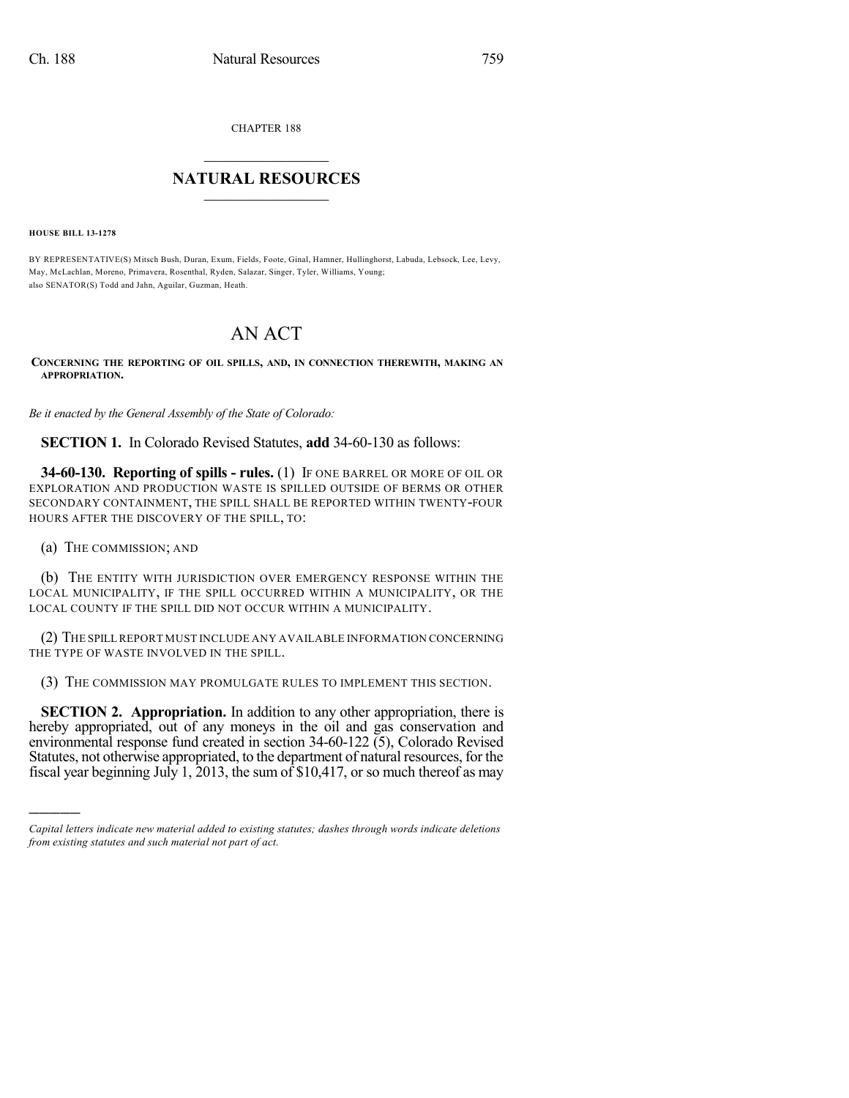CHAPTER 188

## $\mathcal{L}_\text{max}$  . The set of the set of the set of the set of the set of the set of the set of the set of the set of the set of the set of the set of the set of the set of the set of the set of the set of the set of the set **NATURAL RESOURCES**  $\frac{1}{\sqrt{2}}$  , where  $\frac{1}{\sqrt{2}}$  ,  $\frac{1}{\sqrt{2}}$  ,  $\frac{1}{\sqrt{2}}$

**HOUSE BILL 13-1278**

BY REPRESENTATIVE(S) Mitsch Bush, Duran, Exum, Fields, Foote, Ginal, Hamner, Hullinghorst, Labuda, Lebsock, Lee, Levy, May, McLachlan, Moreno, Primavera, Rosenthal, Ryden, Salazar, Singer, Tyler, Williams, Young; also SENATOR(S) Todd and Jahn, Aguilar, Guzman, Heath.

## AN ACT

**CONCERNING THE REPORTING OF OIL SPILLS, AND, IN CONNECTION THEREWITH, MAKING AN APPROPRIATION.**

*Be it enacted by the General Assembly of the State of Colorado:*

**SECTION 1.** In Colorado Revised Statutes, **add** 34-60-130 as follows:

**34-60-130. Reporting of spills - rules.** (1) IF ONE BARREL OR MORE OF OIL OR EXPLORATION AND PRODUCTION WASTE IS SPILLED OUTSIDE OF BERMS OR OTHER SECONDARY CONTAINMENT, THE SPILL SHALL BE REPORTED WITHIN TWENTY-FOUR HOURS AFTER THE DISCOVERY OF THE SPILL, TO:

(a) THE COMMISSION; AND

)))))

(b) THE ENTITY WITH JURISDICTION OVER EMERGENCY RESPONSE WITHIN THE LOCAL MUNICIPALITY, IF THE SPILL OCCURRED WITHIN A MUNICIPALITY, OR THE LOCAL COUNTY IF THE SPILL DID NOT OCCUR WITHIN A MUNICIPALITY.

(2) THE SPILL REPORT MUST INCLUDE ANY AVAILABLE INFORMATION CONCERNING THE TYPE OF WASTE INVOLVED IN THE SPILL.

(3) THE COMMISSION MAY PROMULGATE RULES TO IMPLEMENT THIS SECTION.

**SECTION 2. Appropriation.** In addition to any other appropriation, there is hereby appropriated, out of any moneys in the oil and gas conservation and environmental response fund created in section 34-60-122 (5), Colorado Revised Statutes, not otherwise appropriated, to the department of natural resources, for the fiscal year beginning July 1, 2013, the sum of  $$10,417$ , or so much thereof as may

*Capital letters indicate new material added to existing statutes; dashes through words indicate deletions from existing statutes and such material not part of act.*